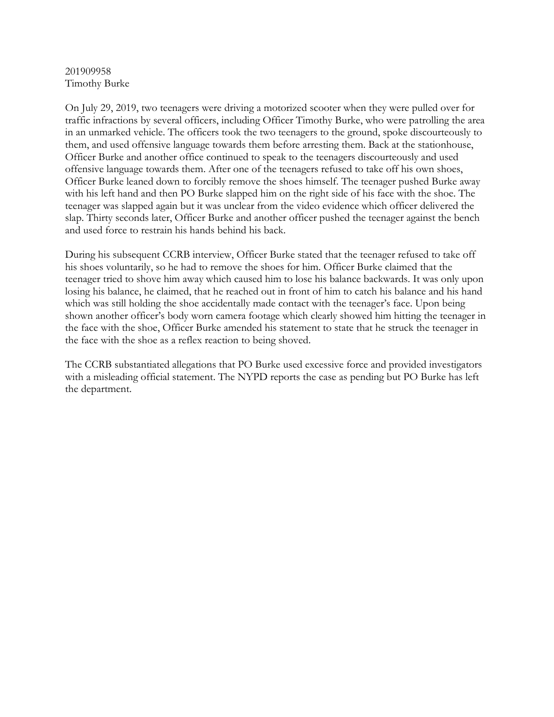201909958 Timothy Burke

On July 29, 2019, two teenagers were driving a motorized scooter when they were pulled over for traffic infractions by several officers, including Officer Timothy Burke, who were patrolling the area in an unmarked vehicle. The officers took the two teenagers to the ground, spoke discourteously to them, and used offensive language towards them before arresting them. Back at the stationhouse, Officer Burke and another office continued to speak to the teenagers discourteously and used offensive language towards them. After one of the teenagers refused to take off his own shoes, Officer Burke leaned down to forcibly remove the shoes himself. The teenager pushed Burke away with his left hand and then PO Burke slapped him on the right side of his face with the shoe. The teenager was slapped again but it was unclear from the video evidence which officer delivered the slap. Thirty seconds later, Officer Burke and another officer pushed the teenager against the bench and used force to restrain his hands behind his back.

During his subsequent CCRB interview, Officer Burke stated that the teenager refused to take off his shoes voluntarily, so he had to remove the shoes for him. Officer Burke claimed that the teenager tried to shove him away which caused him to lose his balance backwards. It was only upon losing his balance, he claimed, that he reached out in front of him to catch his balance and his hand which was still holding the shoe accidentally made contact with the teenager's face. Upon being shown another officer's body worn camera footage which clearly showed him hitting the teenager in the face with the shoe, Officer Burke amended his statement to state that he struck the teenager in the face with the shoe as a reflex reaction to being shoved.

The CCRB substantiated allegations that PO Burke used excessive force and provided investigators with a misleading official statement. The NYPD reports the case as pending but PO Burke has left the department.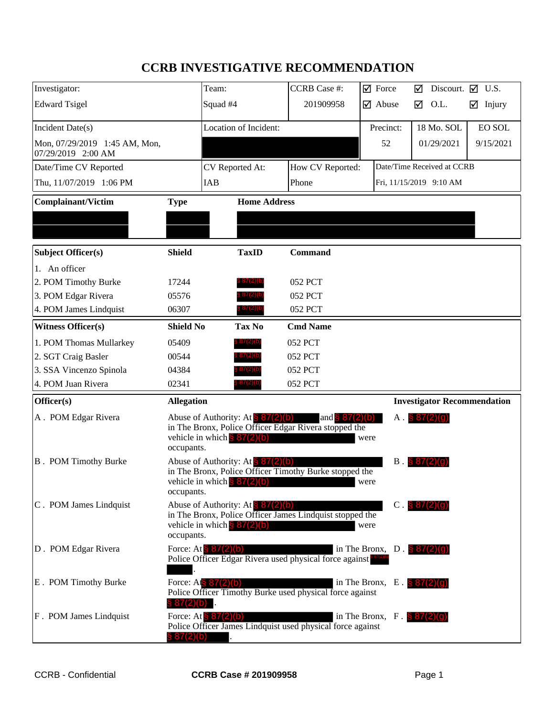# **CCRB INVESTIGATIVE RECOMMENDATION**

| Investigator:                                       |                   | Team:                                                                                                     | <b>CCRB</b> Case #: |      | $\overline{\mathbf{y}}$ Force                             | ☑ | Discourt. $\Box$ U.S.              |   |               |
|-----------------------------------------------------|-------------------|-----------------------------------------------------------------------------------------------------------|---------------------|------|-----------------------------------------------------------|---|------------------------------------|---|---------------|
| <b>Edward Tsigel</b>                                |                   | Squad #4                                                                                                  | 201909958           |      | $\overline{\mathbf{y}}$ Abuse                             | ☑ | O.L.                               | ☑ | Injury        |
|                                                     |                   |                                                                                                           |                     |      |                                                           |   |                                    |   |               |
| Incident Date(s)                                    |                   | Location of Incident:                                                                                     |                     |      | Precinct:                                                 |   | 18 Mo. SOL                         |   | <b>EO SOL</b> |
| Mon, 07/29/2019 1:45 AM, Mon,<br>07/29/2019 2:00 AM |                   |                                                                                                           |                     |      | 52                                                        |   | 01/29/2021                         |   | 9/15/2021     |
| Date/Time CV Reported                               |                   | CV Reported At:                                                                                           | How CV Reported:    |      |                                                           |   | Date/Time Received at CCRB         |   |               |
| Thu, 11/07/2019 1:06 PM                             |                   | IAB                                                                                                       | Phone               |      |                                                           |   | Fri, 11/15/2019 9:10 AM            |   |               |
| <b>Complainant/Victim</b>                           | <b>Type</b>       | <b>Home Address</b>                                                                                       |                     |      |                                                           |   |                                    |   |               |
|                                                     |                   |                                                                                                           |                     |      |                                                           |   |                                    |   |               |
|                                                     |                   |                                                                                                           |                     |      |                                                           |   |                                    |   |               |
| Subject Officer(s)                                  | <b>Shield</b>     | <b>TaxID</b>                                                                                              | <b>Command</b>      |      |                                                           |   |                                    |   |               |
| 1. An officer                                       |                   |                                                                                                           |                     |      |                                                           |   |                                    |   |               |
| 2. POM Timothy Burke                                | 17244             | 8/(2)(b)                                                                                                  | 052 PCT             |      |                                                           |   |                                    |   |               |
| 3. POM Edgar Rivera                                 | 05576             | $8/(2)$ (b)                                                                                               | 052 PCT             |      |                                                           |   |                                    |   |               |
| 4. POM James Lindquist                              | 06307             | $\frac{1}{2}$ 87(2)(b)                                                                                    | 052 PCT             |      |                                                           |   |                                    |   |               |
| <b>Witness Officer(s)</b>                           | <b>Shield No</b>  | <b>Tax No</b>                                                                                             | <b>Cmd Name</b>     |      |                                                           |   |                                    |   |               |
| 1. POM Thomas Mullarkey                             | 05409             | ,87(2)(b)                                                                                                 | 052 PCT             |      |                                                           |   |                                    |   |               |
| 2. SGT Craig Basler                                 | 00544             | \$87(2)(b)                                                                                                | 052 PCT             |      |                                                           |   |                                    |   |               |
| 3. SSA Vincenzo Spinola                             | 04384             | 37(2)(b)                                                                                                  | 052 PCT             |      |                                                           |   |                                    |   |               |
| 4. POM Juan Rivera                                  | 02341             | 87(2)(6)                                                                                                  | 052 PCT             |      |                                                           |   |                                    |   |               |
| Officer(s)                                          | <b>Allegation</b> |                                                                                                           |                     |      |                                                           |   | <b>Investigator Recommendation</b> |   |               |
| A. POM Edgar Rivera                                 |                   | Abuse of Authority: At $\frac{8}{9}$ 87(2)(b)<br>in The Bronx, Police Officer Edgar Rivera stopped the    | and $\S 87(2)$ (b)  |      |                                                           |   | $A. \S 87(2)(g)$                   |   |               |
|                                                     | occupants.        | vehicle in which $\S 87(2)(b)$                                                                            |                     | were |                                                           |   |                                    |   |               |
| <b>B</b> . POM Timothy Burke                        |                   | Abuse of Authority: At § 87(2)(b)<br>in The Bronx, Police Officer Timothy Burke stopped the               |                     |      | B                                                         |   | 87210                              |   |               |
|                                                     | occupants.        | vehicle in which $\S 87(2)(b)$                                                                            |                     | were |                                                           |   |                                    |   |               |
| $ C$ . POM James Lindquist                          |                   | Abuse of Authority: At $\frac{8}{9}$ 87(2)(b)<br>in The Bronx, Police Officer James Lindquist stopped the |                     |      | $\mathbf{C}$ .                                            |   | § 87(2)(q)                         |   |               |
|                                                     | occupants.        | vehicle in which $\S 87(2)(b)$                                                                            |                     | were |                                                           |   |                                    |   |               |
| D. POM Edgar Rivera                                 |                   | Force: At $\frac{8}{3}$ 87(2)(b)<br>Police Officer Edgar Rivera used physical force against               |                     |      | in The Bronx, D. $\frac{6}{9}$ 87(2)(g)                   |   |                                    |   |               |
| E. POM Timothy Burke                                |                   | Force: At $87(2)$ (b)<br>Police Officer Timothy Burke used physical force against                         |                     |      | in The Bronx, $E \cdot \frac{8}{9} \cdot \frac{87(2)}{9}$ |   |                                    |   |               |
|                                                     | \$87(2)(b)        |                                                                                                           |                     |      |                                                           |   |                                    |   |               |
| F. POM James Lindquist                              | \$87(2)(b)        | Force: At $\frac{8}{3}$ 87(2)(b)<br>Police Officer James Lindquist used physical force against            |                     |      | in The Bronx, F. $\frac{6}{5}$ 87(2)(g)                   |   |                                    |   |               |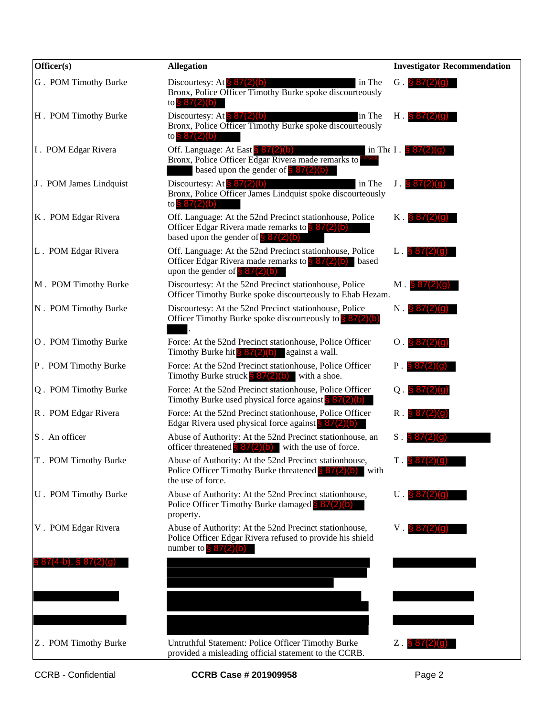| Officer(s)             | <b>Allegation</b>                                                                                                                                                          | <b>Investigator Recommendation</b> |
|------------------------|----------------------------------------------------------------------------------------------------------------------------------------------------------------------------|------------------------------------|
| G. POM Timothy Burke   | in The<br>Discourtesy: At $\S 87(2)(b)$<br>Bronx, Police Officer Timothy Burke spoke discourteously<br>to $\frac{8}{3}$ 87(2)(b)                                           | G. $$87(2)(q)$                     |
| H. POM Timothy Burke   | Discourtesy: At $\S 87(2)(b)$<br>in The<br>Bronx, Police Officer Timothy Burke spoke discourteously<br>to $\S 87(2)$ (b)                                                   | $H.$ § $87(2)(g)$                  |
| I. POM Edgar Rivera    | Off. Language: At East § 87(2)(b)<br>Bronx, Police Officer Edgar Rivera made remarks to<br>based upon the gender of $\S 87(2)$ (b)                                         | in The I. $\frac{5}{9}$ 87(2)(g)   |
| J. POM James Lindquist | Discourtesy: At $\S$ 87(2)(b)<br>in The<br>Bronx, Police Officer James Lindquist spoke discourteously<br>to $87(2)$ (b)                                                    | $J.$ $\S 87(2)(g)$                 |
| K. POM Edgar Rivera    | Off. Language: At the 52nd Precinct stationhouse, Police<br>Officer Edgar Rivera made remarks to $\frac{8}{9}$ 87(2)(b)<br>based upon the gender of $\frac{8}{9}$ 87(2)(b) | Κ.<br>\$87(2)(q)                   |
| L. POM Edgar Rivera    | Off. Language: At the 52nd Precinct stationhouse, Police<br>Officer Edgar Rivera made remarks to $\frac{8}{9}$ 87(2)(b) based<br>upon the gender of $\frac{1}{2}$ 87(2)(b) | \$87(2)(g)<br>L.                   |
| M. POM Timothy Burke   | Discourtesy: At the 52nd Precinct stationhouse, Police<br>Officer Timothy Burke spoke discourteously to Ehab Hezam.                                                        | Μ.<br>87(2)(q)                     |
| N. POM Timothy Burke   | Discourtesy: At the 52nd Precinct stationhouse, Police<br>Officer Timothy Burke spoke discourteously to $\frac{8}{9}$ 87(2)(b)                                             | Ν.<br>88(2)(9)                     |
| O. POM Timothy Burke   | Force: At the 52nd Precinct stationhouse, Police Officer<br>Timothy Burke hit $\frac{8}{3}$ 87(2)(b) against a wall.                                                       | $\mathbf{O}$ .<br>\$87(2)(g)       |
| P. POM Timothy Burke   | Force: At the 52nd Precinct stationhouse, Police Officer<br>Timothy Burke struck $\S 87(2)(b)$ with a shoe.                                                                | $P. \S 87(2)(g)$                   |
| Q. POM Timothy Burke   | Force: At the 52nd Precinct stationhouse, Police Officer<br>Timothy Burke used physical force against $\frac{\sqrt{8} \cdot 87(2)(b)}{8}$                                  | \$87(2)(g)<br>Q.                   |
| R. POM Edgar Rivera    | Force: At the 52nd Precinct stationhouse, Police Officer<br>Edgar Rivera used physical force against $\frac{8}{3}$ 87(2)(b)                                                | $\mathbf R$ .<br>987(2)(Q)         |
| S. An officer          | Abuse of Authority: At the 52nd Precinct stationhouse, an<br>officer threatened $\frac{8}{9}$ 87(2)(b) with the use of force.                                              | S<br>87 (2) (d                     |
| T. POM Timothy Burke   | Abuse of Authority: At the 52nd Precinct stationhouse,<br>Police Officer Timothy Burke threatened $87(2)(b)$ with<br>the use of force.                                     | 5 87 (2) (d)                       |
| U. POM Timothy Burke   | Abuse of Authority: At the 52nd Precinct stationhouse,<br>Police Officer Timothy Burke damaged § 87(2)(b)<br>property.                                                     | U.<br>२ ठ / (Z)(a)                 |
| V. POM Edgar Rivera    | Abuse of Authority: At the 52nd Precinct stationhouse,<br>Police Officer Edgar Rivera refused to provide his shield<br>number to $\frac{5}{5}$ 87(2)(b)                    | $V_{\cdot}$<br>87(2)(q)            |
| $(4-b)$                |                                                                                                                                                                            |                                    |
|                        |                                                                                                                                                                            |                                    |
|                        |                                                                                                                                                                            |                                    |
| Z. POM Timothy Burke   | Untruthful Statement: Police Officer Timothy Burke<br>provided a misleading official statement to the CCRB.                                                                | Ζ.<br>88(2)(0)                     |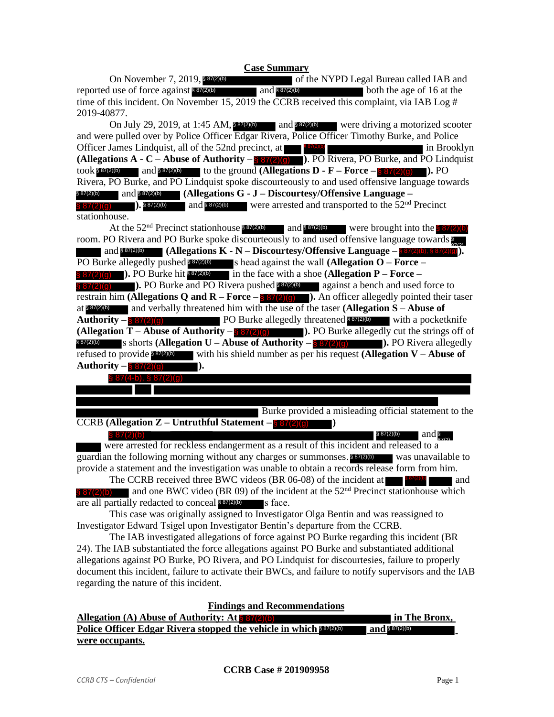#### **Case Summary**

of the NYPD Legal Bureau called IAB and reported use of force against  $887(2)(b)$  and  $887(2)(b)$  both the age of 16 at the time of this incident. On November 15, 2019 the CCRB received this complaint, via IAB Log # 2019-40877. On November 7, 2019, \$37(2)(b) and  $\frac{1}{8}$  87(2)(b)

On July 29, 2019, at 1:45 AM,  $\frac{887(2)(b)}{2}$  and  $\frac{87(2)(b)}{2}$  were driving a motorized scooter and were pulled over by Police Officer Edgar Rivera, Police Officer Timothy Burke, and Police Officer James Lindquist, all of the 52nd precinct, at **in Brooklyn** in Brooklyn **(Allegations A - C – Abuse of Authority – )**. PO Rivera, PO Burke, and PO Lindquist  $\text{took }$   $\frac{\$87(2)(6)}{8}$  and  $\frac{\$87(2)(6)}{8}$  to the ground (Allegations D - F – Force –  $\frac{\$87(2)(g)}{8}$ ). PO Rivera, PO Burke, and PO Lindquist spoke discourteously to and used offensive language towards **E** 87(2)(b) and **[87(2)(b)** (Allegations G - J – Discourtesy/Offensive Language –  $\overline{\text{a}}$  and  $\frac{887(2)(b)}{887(2)(b)}$  were arrested and transported to the 52<sup>nd</sup> Precinct stationhouse.

At the  $52<sup>nd</sup>$  Precinct stationhouse  $887(2)$ room. PO Rivera and PO Burke spoke discourteously to and used offensive language towards and § 87(2)(b) (Allegations K - N – Discourtesy/Offensive Language – § 87(2)(b), § 87(2)(g). PO Burke allegedly pushed 887(2)(b) shead against the wall (**Allegation O** – **Force** – **).** PO Burke hit **887(2)(b)** in the face with a shoe **(Allegation P** – **Force** – ). PO Burke and PO Rivera pushed **8700** against a bench and used force to restrain him **(Allegations Q and**  $R$  **– Force –**  $\frac{887(2)(9)}{2}$ **). An officer allegedly pointed their taser** at \$87(2)(b) and verbally threatened him with the use of the taser (**Allegation S** – **Abuse of Authority** – § 87(2)(g) PO Burke allegedly threatened § 87(2)(b) with a pocketknife **(Allegation**  $\overline{T}$  **– Abuse of Authority –**  $\frac{8}{7200}$  **). PO Burke allegedly cut the strings off of** s shorts **(Allegation U – Abuse of Authority – ).** PO Rivera allegedly with his shield number as per his request **(Allegation V – Abuse of** Authority  $-\frac{8}{9}87(2)(9)$  ). and  $\frac{87(2)}{b}$  were brought into the  $\frac{87(2)}{b}$ § 87(2)(b) refused to provide \$87(2)(b) Officer Janear Hofilics, all of the S2nd precisions, all of the spant of the spant of the spant of the spant of the spant of the spant of the spant of the spant of the spant of the spant of the spant of the spant of the s

§ 87(4-b), § 87(2)(g)

Burke provided a misleading official statement to the CCRB **(Allegation Z – Untruthful Statement – )** § 87(2)(g)  $\frac{1}{2}$  87(2)(b) § 87(2)(b)

and § were arrested for reckless endangerment as a result of this incident and released to a guardian the following morning without any charges or summonses. 887(2)(b) was unavailable to provide a statement and the investigation was unable to obtain a records release form from him. § 87(2)(b)

The CCRB received three BWC videos (BR 06-08) of the incident at  $\blacksquare$  solution and one BWC video (BR 09) of the incident at the  $52<sup>nd</sup>$  Precinct stationhouse which are all partially redacted to conceal 887(2)(b) s face. § 87(2)(b)

This case was originally assigned to Investigator Olga Bentin and was reassigned to Investigator Edward Tsigel upon Investigator Bentin's departure from the CCRB.

The IAB investigated allegations of force against PO Burke regarding this incident (BR 24). The IAB substantiated the force allegations against PO Burke and substantiated additional allegations against PO Burke, PO Rivera, and PO Lindquist for discourtesies, failure to properly document this incident, failure to activate their BWCs, and failure to notify supervisors and the IAB regarding the nature of this incident.

#### **Findings and Recommendations**

| Allegation (A) Abuse of Authority: At \$87(2)(b)                   | I in The Bronx, |
|--------------------------------------------------------------------|-----------------|
| Police Officer Edgar Rivera stopped the vehicle in which SET(2)(b) | and $$87(2)(b)$ |
| were occupants.                                                    |                 |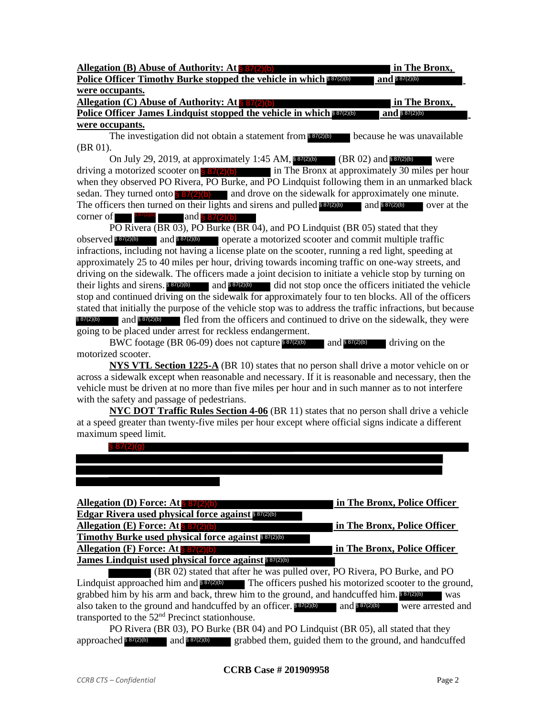| <b>Allegation (B) Abuse of Authority: At \$ 37(2) (b)</b>                  | in The Bronx,   |
|----------------------------------------------------------------------------|-----------------|
| <b>Police Officer Timothy Burke stopped the vehicle in which S87(2)(b)</b> | and $$87(2)(b)$ |
| were occupants.                                                            |                 |
| Allegation (C) Abuse of Authority: At \$87(2)(b)                           | in The Bronx,   |
| Police Officer James Lindquist stopped the vehicle in which 8 87(2)(b)     | and $$87(2)(b)$ |
|                                                                            |                 |

#### **were occupants.**

The investigation did not obtain a statement from 887(2)(b) because he was unavailable (BR 01).

On July 29, 2019, at approximately 1:45 AM,  $87(2)(b)$  (BR 02) and  $87(2)(b)$  were driving a motorized scooter on  $\frac{87(2)(b)}{2}$  in The Bronx at approximately 30 miles per hour when they observed PO Rivera, PO Burke, and PO Lindquist following them in an unmarked black sedan. They turned onto  $\frac{87(2)(b)}{2}$  and drove on the sidewalk for approximately one minute. The officers then turned on their lights and sirens and pulled  $\frac{887(2)(b)}{887(2)(b)}$  and  $\frac{887(2)(b)}{887(2)(b)}$  over at the corner of  $s^{87(2)(b)}$  and  $s^{87(2)(b)}$ 

PO Rivera (BR 03), PO Burke (BR 04), and PO Lindquist (BR 05) stated that they observed  $\frac{\$37(2)(b)}{8}$  and  $\frac{\$37(2)(b)}{8}$  operate a motorized scooter and commit multiple traffic infractions, including not having a license plate on the scooter, running a red light, speeding at approximately 25 to 40 miles per hour, driving towards incoming traffic on one-way streets, and driving on the sidewalk. The officers made a joint decision to initiate a vehicle stop by turning on their lights and sirens.  $8\frac{87(2)(b)}{2}$  and  $8\frac{87(2)(b)}{2}$  did not stop once the officers initiated the vehicle stop and continued driving on the sidewalk for approximately four to ten blocks. All of the officers stated that initially the purpose of the vehicle stop was to address the traffic infractions, but because If led from the officers and continued to drive on the sidewalk, they were going to be placed under arrest for reckless endangerment. § 87(2)(b) § 87(2)(b) **(B) Abuse of Authority: At <b>EVATOR**<br> **ECT Timothy Burke stopped the vehical ants.**<br> **ECT Timothy Burke stopped the vehical ants.**<br> **ETT James Lindquist stopped the vehicants.**<br> **Investigation did not obtain a statemery a** 

BWC footage (BR 06-09) does not capture  $887(2)$ (b) and  $887(2)$ (b) driving on the motorized scooter. and  $$87(2)(b)$ 

**NYS VTL Section 1225-A** (BR 10) states that no person shall drive a motor vehicle on or across a sidewalk except when reasonable and necessary. If it is reasonable and necessary, then the vehicle must be driven at no more than five miles per hour and in such manner as to not interfere with the safety and passage of pedestrians.

**NYC DOT Traffic Rules Section 4-06** (BR 11) states that no person shall drive a vehicle at a speed greater than twenty-five miles per hour except where official signs indicate a different maximum speed limit.

| Allegation (D) Force: At § 87(2)(b)                       | I in The Bronx, Police Officer |
|-----------------------------------------------------------|--------------------------------|
| <b>Edgar Rivera used physical force against SET(2)(b)</b> |                                |

| <b>Allegation (E) Force: At <math>\frac{87(2)}{b}</math></b> | <b>  in The Bronx, Police Officer</b> |
|--------------------------------------------------------------|---------------------------------------|
| <b>Timothy Burke used physical force against \$87(2)(b)</b>  |                                       |
| <b>Allegation (F) Force: At § 87(2)(b)</b>                   | in The Bronx, Police Officer          |
| James Lindquist used physical force against \$87(2)(b)       |                                       |

(BR 02) stated that after he was pulled over, PO Rivera, PO Burke, and PO Lindquist approached him and **\$37(2)(b)** The officers pushed his motorized scooter to the ground, grabbed him by his arm and back, threw him to the ground, and handcuffed him. 887(2)(b) was also taken to the ground and handcuffed by an officer. 837(2)(b) and 837(2)(b) were arrested and transported to the 52nd Precinct stationhouse.

PO Rivera (BR 03), PO Burke (BR 04) and PO Lindquist (BR 05), all stated that they approached  $8\frac{87}{20}$  and  $8\frac{87}{20}$  grabbed them, guided them to the ground, and handcuffed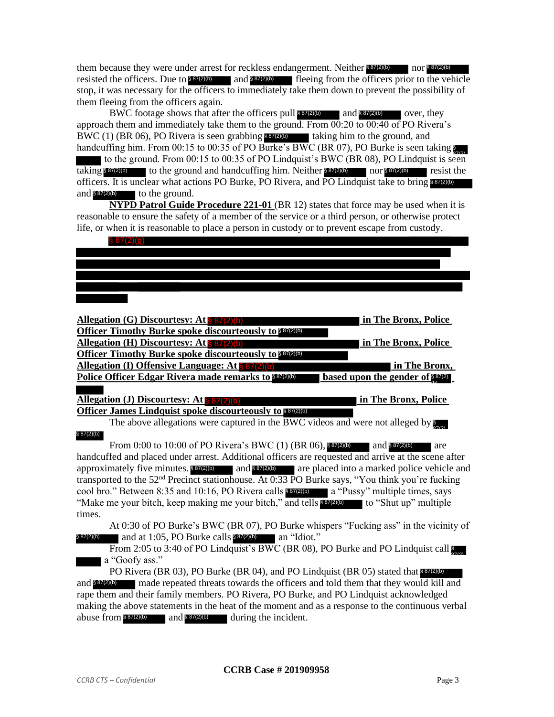them because they were under arrest for reckless endangerment. Neither \$87(2)(b) nor \$87(2)(b) resisted the officers. Due to  $\frac{87(2)(b)}{2}$  and  $\frac{87(2)(b)}{2}$  fleeing from the officers prior to the vehicle stop, it was necessary for the officers to immediately take them down to prevent the possibility of them fleeing from the officers again.

BWC footage shows that after the officers pull  $\frac{87(2)(b)}{2}$  and  $\frac{87(2)(b)}{2}$  over, they approach them and immediately take them to the ground. From 00:20 to 00:40 of PO Rivera's BWC (1) (BR 06), PO Rivera is seen grabbing  $\frac{\$87(2)(b)}{2}$  taking him to the ground, and handcuffing him. From 00:15 to 00:35 of PO Burke's BWC (BR 07), PO Burke is seen taking § 87(2)(b) § 87(2)(b)

to the ground. From 00:15 to 00:35 of PO Lindquist's BWC (BR 08), PO Lindquist is seen taking  $8\frac{87(2)}{6}$  to the ground and handcuffing him. Neither  $8\frac{87(2)}{6}$  nor  $8\frac{87(2)}{6}$  resist the officers. It is unclear what actions PO Burke, PO Rivera, and PO Lindquist take to bring \$37(2)(b) and  $\frac{887(2)(b)}{2}$  to the ground.

**NYPD Patrol Guide Procedure 221-01** (BR 12) states that force may be used when it is reasonable to ensure the safety of a member of the service or a third person, or otherwise protect life, or when it is reasonable to place a person in custody or to prevent escape from custody.

| Allegation (G) Discourtesy: At \$87(2)(b)                                                           | in The Bronx, Police                 |
|-----------------------------------------------------------------------------------------------------|--------------------------------------|
| <b>Officer Timothy Burke spoke discourteously to SET 210</b>                                        |                                      |
| <b>Allegation (H) Discourtesy: At § 87(2)(b)</b>                                                    | in The Bronx, Police                 |
| <b>Officer Timothy Burke spoke discourteously to 8 87(2)(b)</b>                                     |                                      |
| <b>Allegation (I) Offensive Language: At \$87(2)(b)</b>                                             | In The Bronx,                        |
| Police Officer Edgar Rivera made remarks to \$87(2)(b)                                              | based upon the gender of $8^{87(2)}$ |
|                                                                                                     |                                      |
| <b>Allegation (J) Discourtesy: At \$87(2)(b)</b>                                                    | in The Bronx, Police                 |
| <b>Officer James Lindquist spoke discourteously to 8 87(2)(b)</b>                                   |                                      |
| The above allegations were captured in the BWC videos and were not alleged by $\sum_{n=1}^{\infty}$ |                                      |

#### § 87(2)(b)

From 0:00 to 10:00 of PO Rivera's BWC (1) (BR 06), 887(2)(b) and 887(2)(b) are handcuffed and placed under arrest. Additional officers are requested and arrive at the scene after approximately five minutes.  $$87(2)(b)$  and  $$87(2)(b)$  are placed into a marked police vehicle and transported to the 52nd Precinct stationhouse. At 0:33 PO Burke says, "You think you're fucking cool bro." Between 8:35 and 10:16, PO Rivera calls  $\frac{887(2)(b)}{8}$  a "Pussy" multiple times, says "Make me your bitch, keep making me your bitch," and tells **887(2)(b)** to "Shut up" multiple times.

At 0:30 of PO Burke's BWC (BR 07), PO Burke whispers "Fucking ass" in the vicinity of § 87(2)(b) and at 1:05, PO Burke calls § 87(2)(b) an "Idiot."

From 2:05 to 3:40 of PO Lindquist's BWC (BR 08), PO Burke and PO Lindquist call a "Goofy ass." 87(2)

PO Rivera (BR 03), PO Burke (BR 04), and PO Lindquist (BR 05) stated that **\$37(2)(b)** and \$87(2)(b) made repeated threats towards the officers and told them that they would kill and rape them and their family members. PO Rivera, PO Burke, and PO Lindquist acknowledged making the above statements in the heat of the moment and as a response to the continuous verbal abuse from  $\frac{\$87(2)(b)}{ }$  and  $\frac{\$87(2)(b)}{ }$  during the incident.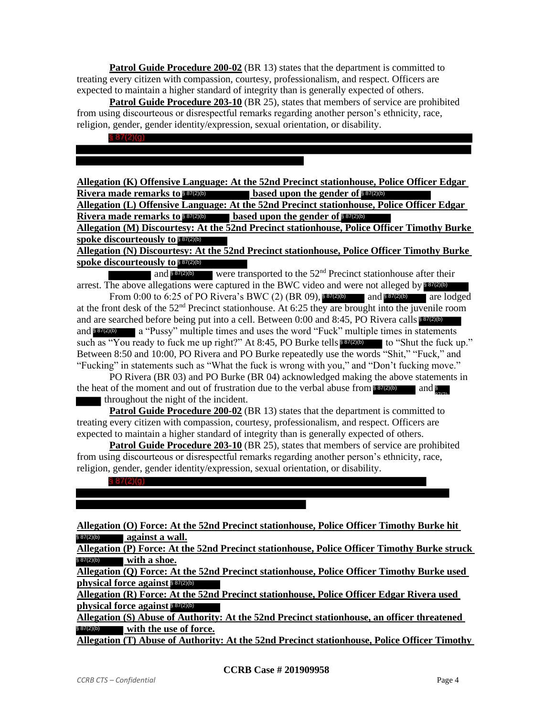**Patrol Guide Procedure 200-02** (BR 13) states that the department is committed to treating every citizen with compassion, courtesy, professionalism, and respect. Officers are expected to maintain a higher standard of integrity than is generally expected of others.

**Patrol Guide Procedure 203-10** (BR 25), states that members of service are prohibited from using discourteous or disrespectful remarks regarding another person's ethnicity, race, religion, gender, gender identity/expression, sexual orientation, or disability.

 $$87(2)(g)$ 

**Allegation (K) Offensive Language: At the 52nd Precinct stationhouse, Police Officer Edgar Rivera made remarks to**  $$BZ(2)(b)$ **based upon the gender of \$87(2)(b)** 

**Allegation (L) Offensive Language: At the 52nd Precinct stationhouse, Police Officer Edgar Rivera made remarks to \$87(2)(b) based upon the gender of \$87(2)(b)** 

**Allegation (M) Discourtesy: At the 52nd Precinct stationhouse, Police Officer Timothy Burke spoke discourteously to**  § 87(2)(b)

**Allegation (N) Discourtesy: At the 52nd Precinct stationhouse, Police Officer Timothy Burke spoke discourteously to**  § 87(2)(b)

and  $\frac{887(2)}{6}$  were transported to the 52<sup>nd</sup> Precinct stationhouse after their arrest. The above allegations were captured in the BWC video and were not alleged by **\$77(2)(b)** 

From 0:00 to 6:25 of PO Rivera's BWC (2) (BR 09),  $8\frac{87(2)(b)}{2}$  and  $8\frac{87(2)(b)}{2}$  are lodged at the front desk of the 52nd Precinct stationhouse. At 6:25 they are brought into the juvenile room and are searched before being put into a cell. Between 0:00 and 8:45, PO Rivera calls \$37(2)(b) and **887(2)(b)** a "Pussy" multiple times and uses the word "Fuck" multiple times in statements such as "You ready to fuck me up right?" At 8:45, PO Burke tells \$87(2)(b) to "Shut the fuck up." Between 8:50 and 10:00, PO Rivera and PO Burke repeatedly use the words "Shit," "Fuck," and "Fucking" in statements such as "What the fuck is wrong with you," and "Don't fucking move."

PO Rivera (BR 03) and PO Burke (BR 04) acknowledged making the above statements in the heat of the moment and out of frustration due to the verbal abuse from  $\frac{887(2)(b)}{2}$  and  $\frac{8}{2}$ throughout the night of the incident.

**Patrol Guide Procedure 200-02** (BR 13) states that the department is committed to treating every citizen with compassion, courtesy, professionalism, and respect. Officers are expected to maintain a higher standard of integrity than is generally expected of others.

**Patrol Guide Procedure 203-10** (BR 25), states that members of service are prohibited from using discourteous or disrespectful remarks regarding another person's ethnicity, race, religion, gender, gender identity/expression, sexual orientation, or disability.

**Allegation (O) Force: At the 52nd Precinct stationhouse, Police Officer Timothy Burke hit against a wall.** § 87(2)(b)

**Allegation (P) Force: At the 52nd Precinct stationhouse, Police Officer Timothy Burke struck with a shoe.** § 87(2)(b)

**Allegation (Q) Force: At the 52nd Precinct stationhouse, Police Officer Timothy Burke used physical force against**  § 87(2)(b)

**Allegation (R) Force: At the 52nd Precinct stationhouse, Police Officer Edgar Rivera used physical force against**  § 87(2)(b)

**Allegation (S) Abuse of Authority: At the 52nd Precinct stationhouse, an officer threatened with the use of force.** § 87(2)(b)

**Allegation (T) Abuse of Authority: At the 52nd Precinct stationhouse, Police Officer Timothy**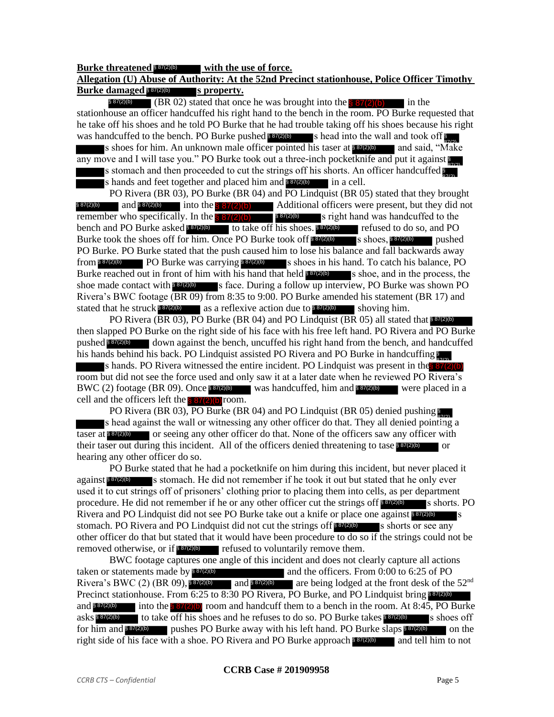#### **Burke threatened 887(2)(b)** with the use of force.

# **Allegation (U) Abuse of Authority: At the 52nd Precinct stationhouse, Police Officer Timothy Burke damaged 887(2)(b)** S property.

 $(BR 02)$  stated that once he was brought into the **8** 87(2)(b) in the stationhouse an officer handcuffed his right hand to the bench in the room. PO Burke requested that he take off his shoes and he told PO Burke that he had trouble taking off his shoes because his right was handcuffed to the bench. PO Burke pushed \$87(2)(b) s head into the wall and took off § 87(2)(b)

s shoes for him. An unknown male officer pointed his taser at  $\frac{887(2)(b)}{87(2)(b)}$  and said, "Make any move and I will tase you." PO Burke took out a three-inch pocketknife and put it against s stomach and then proceeded to cut the strings off his shorts. An officer handcuffed s hands and feet together and placed him and \$87200 87(2)  $\overline{\phantom{a}}$  in a cell.

PO Rivera (BR 03), PO Burke (BR 04) and PO Lindquist (BR 05) stated that they brought into the  $\frac{87(2)(b)}{2}$  Additional officers were present, but they did not remember who specifically. In the  $\frac{887(2)(b)}{2}$ bench and PO Burke asked  $87(2)$ (b) to take off his shoes.  $87(2)$ (b) refused to do so, and PO Burke took the shoes off for him. Once PO Burke took off  $\frac{87(2)(b)}{887(2)(b)}$  s shoes,  $\frac{87(2)(b)}{887(2)(b)}$  pushed PO Burke. PO Burke stated that the push caused him to lose his balance and fall backwards away from 887(2)(b) PO Burke was carrying 887(2)(b) s shoes in his hand. To catch his balance, PO Burke reached out in front of him with his hand that held **887(2)(b)** s shoe, and in the process, the shoe made contact with 887(2)(b) s face. During a follow up interview, PO Burke was shown PO Rivera's BWC footage (BR 09) from 8:35 to 9:00. PO Burke amended his statement (BR 17) and stated that he struck  $\frac{\$87(2)(b)}{ }$  as a reflexive action due to  $\frac{\$87(2)(b)}{ }$  shoving him. § 87(2)(b) § 87(2)(b) § 87(2)(b) s right hand was handcuffed to the 02) state that once he was key specific into the string of this shock be a state of the local OB Dirac to the bench the basis of this shock secretary is shock on the moment of the local OB Dirac to the string of this shoc

PO Rivera (BR 03), PO Burke (BR 04) and PO Lindquist (BR 05) all stated that **\$77(2)(b)** then slapped PO Burke on the right side of his face with his free left hand. PO Rivera and PO Burke pushed 887(2)(b) down against the bench, uncuffed his right hand from the bench, and handcuffed his hands behind his back. PO Lindquist assisted PO Rivera and PO Burke in handcuffing

s hands. PO Rivera witnessed the entire incident. PO Lindquist was present in the  $\frac{87(2)(6)}{87(2)(6)}$ room but did not see the force used and only saw it at a later date when he reviewed PO Rivera's BWC (2) footage (BR 09). Once  $887(2)$ (b) was handcuffed, him and  $877(2)$ (b) were placed in a cell and the officers left the  $\frac{87(2)(b)}{200}$  room.

PO Rivera (BR 03), PO Burke (BR 04) and PO Lindquist (BR 05) denied pushing s head against the wall or witnessing any other officer do that. They all denied pointing a or seeing any other officer do that. None of the officers saw any officer with their taser out during this incident. All of the officers denied threatening to tase \$87(2)(b) or hearing any other officer do so. § 87(2)(b)

PO Burke stated that he had a pocketknife on him during this incident, but never placed it  $\blacksquare$  is stomach. He did not remember if he took it out but stated that he only ever used it to cut strings off of prisoners' clothing prior to placing them into cells, as per department procedure. He did not remember if he or any other officer cut the strings off **\$87(2)(b)** s shorts. PO Rivera and PO Lindquist did not see PO Burke take out a knife or place one against **\$37(2)(b)** s stomach. PO Rivera and PO Lindquist did not cut the strings of **887(2)(b)** s shorts or see any other officer do that but stated that it would have been procedure to do so if the strings could not be removed otherwise, or if  $\frac{87(2)(b)}{2}$  refused to voluntarily remove them. § 87(2)(b)

BWC footage captures one angle of this incident and does not clearly capture all actions taken or statements made by  $$87(2)(b)$  and the officers. From 0:00 to 6:25 of PO Rivera's BWC (2) (BR 09),  $\frac{887(20)}{8}$  and  $\frac{887(20)}{8}$  are being lodged at the front desk of the 52<sup>nd</sup> Precinct stationhouse. From 6:25 to 8:30 PO Rivera, PO Burke, and PO Lindquist bring \$37(2)(b) into the  $\frac{87}{20}$  room and handcuff them to a bench in the room. At 8:45, PO Burke asks \$87(2)(b) to take off his shoes and he refuses to do so. PO Burke takes \$87(2)(b) s shoes off for him and  $$87(2)(b)$  pushes PO Burke away with his left hand. PO Burke slaps  $$87(2)(b)$  on the right side of his face with a shoe. PO Rivera and PO Burke approach  $\frac{8\pi}{20}$  and tell him to not § 87(2)(b)  $§ 87(2)(b)$  and  $§ 87(2)(b)$ § 87(2)(b)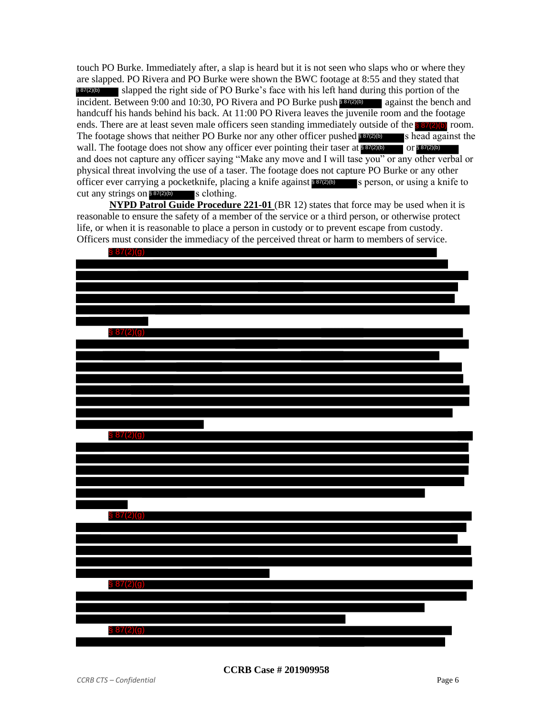touch PO Burke. Immediately after, a slap is heard but it is not seen who slaps who or where they are slapped. PO Rivera and PO Burke were shown the BWC footage at 8:55 and they stated that § 87(2)(b) slapped the right side of PO Burke's face with his left hand during this portion of the incident. Between 9:00 and 10:30, PO Rivera and PO Burke push  $\frac{87(2)}{6}$  against the bench and handcuff his hands behind his back. At 11:00 PO Rivera leaves the juvenile room and the footage ends. There are at least seven male officers seen standing immediately outside of the 8720 (b) room. The footage shows that neither PO Burke nor any other officer pushed 887(2)(b) s head against the wall. The footage does not show any officer ever pointing their taser at \$87(2)(b) or \$87(2)(b) and does not capture any officer saying "Make any move and I will tase you" or any other verbal or physical threat involving the use of a taser. The footage does not capture PO Burke or any other officer ever carrying a pocketknife, placing a knife against \$87(2)(b) s person, or using a knife to cut any strings on  $887(2)$ (b) s clothing.

**NYPD Patrol Guide Procedure 221-01** (BR 12) states that force may be used when it is reasonable to ensure the safety of a member of the service or a third person, or otherwise protect life, or when it is reasonable to place a person in custody or to prevent escape from custody. Officers must consider the immediacy of the perceived threat or harm to members of service.

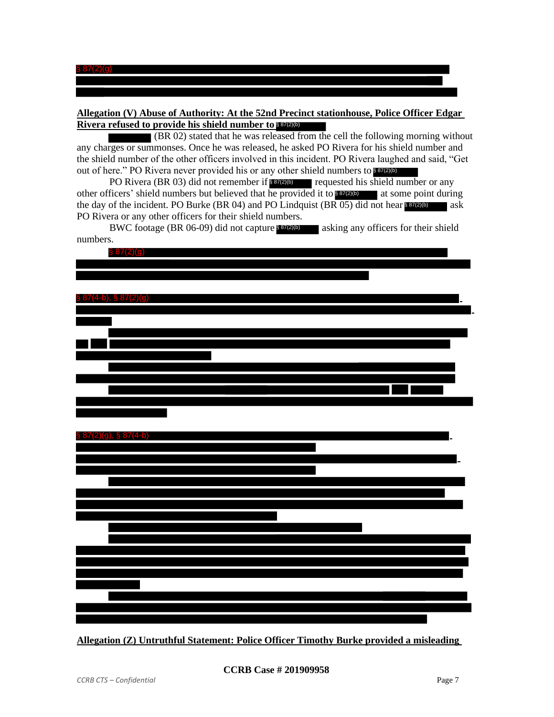# **Allegation (V) Abuse of Authority: At the 52nd Precinct stationhouse, Police Officer Edgar Rivera refused to provide his shield number to**  § 87(2)(b)

(BR 02) stated that he was released from the cell the following morning without any charges or summonses. Once he was released, he asked PO Rivera for his shield number and the shield number of the other officers involved in this incident. PO Rivera laughed and said, "Get out of here." PO Rivera never provided his or any other shield numbers to **\$37(2)(b)** 

PO Rivera (BR 03) did not remember if \$87(2)(b) requested his shield number or any other officers' shield numbers but believed that he provided it to **887(2)(b)** at some point during the day of the incident. PO Burke (BR 04) and PO Lindquist (BR 05) did not hear  $\frac{87}{20}$  ask PO Rivera or any other officers for their shield numbers.  $\frac{\text{Allegation (V) A}}{\text{Rivera refused t}}$ <br>any charges or su<br>the shield numbe<br>out of here." PO<br>PO River<br>other officers' sh<br>the day of the inc<br>PO Rivera or any<br>BWC foo<br>numbers.<br> $\frac{887(2)(9)}{27}$ 

BWC footage (BR 06-09) did not capture 887(2)(b) asking any officers for their shield numbers.





87(2)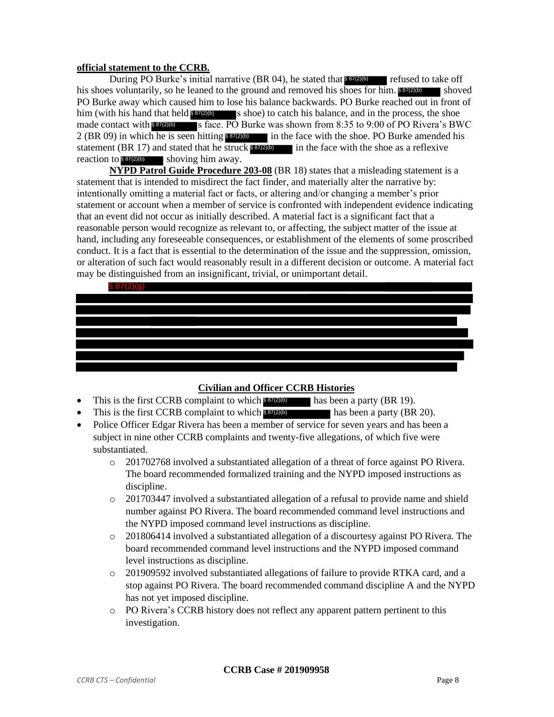### **official statement to the CCRB.**

During PO Burke's initial narrative (BR 04), he stated that 887(2)(b) refused to take off his shoes voluntarily, so he leaned to the ground and removed his shoes for him. **\$37(2)(b)** shoved PO Burke away which caused him to lose his balance backwards. PO Burke reached out in front of him (with his hand that held **\$87(2)(b)** s shoe) to catch his balance, and in the process, the shoe s face. PO Burke was shown from 8:35 to 9:00 of PO Rivera's BWC 2 (BR 09) in which he is seen hitting  $\frac{887(2)}{6}$  in the face with the shoe. PO Burke amended his statement (BR 17) and stated that he struck  $\frac{87(2)}{6}$  in the face with the shoe as a reflexive reaction to  $\frac{887(2)(b)}{2}$  shoving him away. made contact with \$87(2)(b)

**NYPD Patrol Guide Procedure 203-08** (BR 18) states that a misleading statement is a statement that is intended to misdirect the fact finder, and materially alter the narrative by: intentionally omitting a material fact or facts, or altering and/or changing a member's prior statement or account when a member of service is confronted with independent evidence indicating that an event did not occur as initially described. A material fact is a significant fact that a reasonable person would recognize as relevant to, or affecting, the subject matter of the issue at hand, including any foreseeable consequences, or establishment of the elements of some proscribed conduct. It is a fact that is essential to the determination of the issue and the suppression, omission, or alteration of such fact would reasonably result in a different decision or outcome. A material fact may be distinguished from an insignificant, trivial, or unimportant detail.



# **Civilian and Officer CCRB Histories**

- This is the first CCRB complaint to which  $\frac{87(2)}{6}$  has been a party (BR 19).
- This is the first CCRB complaint to which  $887(2)$ (b) has been a party (BR 20).
- Police Officer Edgar Rivera has been a member of service for seven years and has been a subject in nine other CCRB complaints and twenty-five allegations, of which five were substantiated.
	- o 201702768 involved a substantiated allegation of a threat of force against PO Rivera. The board recommended formalized training and the NYPD imposed instructions as discipline.
	- $\circ$  201703447 involved a substantiated allegation of a refusal to provide name and shield number against PO Rivera. The board recommended command level instructions and the NYPD imposed command level instructions as discipline.
	- $\circ$  201806414 involved a substantiated allegation of a discourtesy against PO Rivera. The board recommended command level instructions and the NYPD imposed command level instructions as discipline.
	- o 201909592 involved substantiated allegations of failure to provide RTKA card, and a stop against PO Rivera. The board recommended command discipline A and the NYPD has not yet imposed discipline.
	- o PO Rivera's CCRB history does not reflect any apparent pattern pertinent to this investigation.